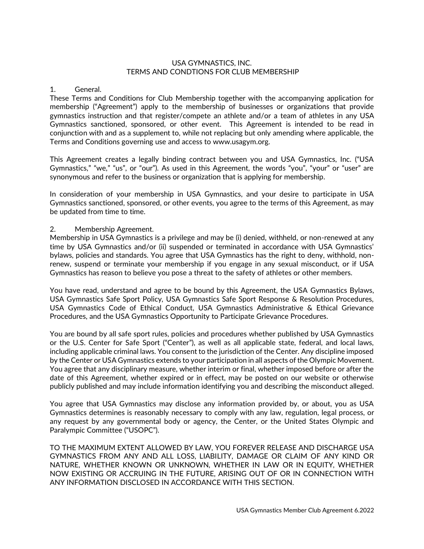### USA GYMNASTICS, INC. TERMS AND CONDTIONS FOR CLUB MEMBERSHIP

#### 1. General.

These Terms and Conditions for Club Membership together with the accompanying application for membership ("Agreement") apply to the membership of businesses or organizations that provide gymnastics instruction and that register/compete an athlete and/or a team of athletes in any USA Gymnastics sanctioned, sponsored, or other event. This Agreement is intended to be read in conjunction with and as a supplement to, while not replacing but only amending where applicable, the Terms and Conditions governing use and access to www.usagym.org.

This Agreement creates a legally binding contract between you and USA Gymnastics, Inc. ("USA Gymnastics," "we," "us", or "our"). As used in this Agreement, the words "you", "your" or "user" are synonymous and refer to the business or organization that is applying for membership.

In consideration of your membership in USA Gymnastics, and your desire to participate in USA Gymnastics sanctioned, sponsored, or other events, you agree to the terms of this Agreement, as may be updated from time to time.

#### 2. Membership Agreement.

Membership in USA Gymnastics is a privilege and may be (i) denied, withheld, or non-renewed at any time by USA Gymnastics and/or (ii) suspended or terminated in accordance with USA Gymnastics' bylaws, policies and standards. You agree that USA Gymnastics has the right to deny, withhold, nonrenew, suspend or terminate your membership if you engage in any sexual misconduct, or if USA Gymnastics has reason to believe you pose a threat to the safety of athletes or other members.

You have read, understand and agree to be bound by this Agreement, the USA Gymnastics Bylaws, USA Gymnastics Safe Sport Policy, USA Gymnastics Safe Sport Response & Resolution Procedures, USA Gymnastics Code of Ethical Conduct, USA Gymnastics Administrative & Ethical Grievance Procedures, and the USA Gymnastics Opportunity to Participate Grievance Procedures.

You are bound by all safe sport rules, policies and procedures whether published by USA Gymnastics or the U.S. Center for Safe Sport ("Center"), as well as all applicable state, federal, and local laws, including applicable criminal laws. You consent to the jurisdiction of the Center. Any discipline imposed by the Center or USA Gymnastics extends to your participation in all aspects of the Olympic Movement. You agree that any disciplinary measure, whether interim or final, whether imposed before or after the date of this Agreement, whether expired or in effect, may be posted on our website or otherwise publicly published and may include information identifying you and describing the misconduct alleged.

You agree that USA Gymnastics may disclose any information provided by, or about, you as USA Gymnastics determines is reasonably necessary to comply with any law, regulation, legal process, or any request by any governmental body or agency, the Center, or the United States Olympic and Paralympic Committee ("USOPC").

TO THE MAXIMUM EXTENT ALLOWED BY LAW, YOU FOREVER RELEASE AND DISCHARGE USA GYMNASTICS FROM ANY AND ALL LOSS, LIABILITY, DAMAGE OR CLAIM OF ANY KIND OR NATURE, WHETHER KNOWN OR UNKNOWN, WHETHER IN LAW OR IN EQUITY, WHETHER NOW EXISTING OR ACCRUING IN THE FUTURE, ARISING OUT OF OR IN CONNECTION WITH ANY INFORMATION DISCLOSED IN ACCORDANCE WITH THIS SECTION.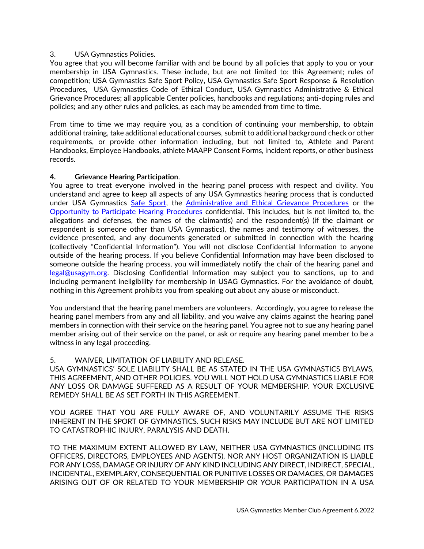## 3. USA Gymnastics Policies.

You agree that you will become familiar with and be bound by all policies that apply to you or your membership in USA Gymnastics. These include, but are not limited to: this Agreement; rules of competition; USA Gymnastics Safe Sport Policy, USA Gymnastics Safe Sport Response & Resolution Procedures, USA Gymnastics Code of Ethical Conduct, USA Gymnastics Administrative & Ethical Grievance Procedures; all applicable Center policies, handbooks and regulations; anti-doping rules and policies; and any other rules and policies, as each may be amended from time to time.

From time to time we may require you, as a condition of continuing your membership, to obtain additional training, take additional educational courses, submit to additional background check or other requirements, or provide other information including, but not limited to, Athlete and Parent Handbooks, Employee Handbooks, athlete MAAPP Consent Forms, incident reports, or other business records.

## **4. Grievance Hearing Participation**.

You agree to treat everyone involved in the hearing panel process with respect and civility. You understand and agree to keep all aspects of any USA Gymnastics hearing process that is conducted under USA Gymnastics [Safe Sport,](https://usagym.org/pages/education/safesport/policy.html) the [Administrative and Ethical Grievance Procedures](https://usagym.org/PDFs/About%20USA%20Gymnastics/Governance/admin_eth_griev.pdf) or the [Opportunity to Participate Hearing Procedures](https://usagym.org/PDFs/About%20USA%20Gymnastics/Governance/grievance.pdf) confidential. This includes, but is not limited to, the allegations and defenses, the names of the claimant(s) and the respondent(s) (if the claimant or respondent is someone other than USA Gymnastics), the names and testimony of witnesses, the evidence presented, and any documents generated or submitted in connection with the hearing (collectively "Confidential Information"). You will not disclose Confidential Information to anyone outside of the hearing process. If you believe Confidential Information may have been disclosed to someone outside the hearing process, you will immediately notify the chair of the hearing panel and [legal@usagym.org.](mailto:legal@usagym.org) Disclosing Confidential Information may subject you to sanctions, up to and including permanent ineligibility for membership in USAG Gymnastics. For the avoidance of doubt, nothing in this Agreement prohibits you from speaking out about any abuse or misconduct.

You understand that the hearing panel members are volunteers. Accordingly, you agree to release the hearing panel members from any and all liability, and you waive any claims against the hearing panel members in connection with their service on the hearing panel. You agree not to sue any hearing panel member arising out of their service on the panel, or ask or require any hearing panel member to be a witness in any legal proceeding.

# 5. WAIVER, LIMITATION OF LIABILITY AND RELEASE.

USA GYMNASTICS' SOLE LIABILITY SHALL BE AS STATED IN THE USA GYMNASTICS BYLAWS, THIS AGREEMENT, AND OTHER POLICIES. YOU WILL NOT HOLD USA GYMNASTICS LIABLE FOR ANY LOSS OR DAMAGE SUFFERED AS A RESULT OF YOUR MEMBERSHIP. YOUR EXCLUSIVE REMEDY SHALL BE AS SET FORTH IN THIS AGREEMENT.

YOU AGREE THAT YOU ARE FULLY AWARE OF, AND VOLUNTARILY ASSUME THE RISKS INHERENT IN THE SPORT OF GYMNASTICS. SUCH RISKS MAY INCLUDE BUT ARE NOT LIMITED TO CATASTROPHIC INJURY, PARALYSIS AND DEATH.

TO THE MAXIMUM EXTENT ALLOWED BY LAW, NEITHER USA GYMNASTICS (INCLUDING ITS OFFICERS, DIRECTORS, EMPLOYEES AND AGENTS), NOR ANY HOST ORGANIZATION IS LIABLE FOR ANY LOSS, DAMAGE OR INJURY OF ANY KIND INCLUDING ANY DIRECT, INDIRECT, SPECIAL, INCIDENTAL, EXEMPLARY, CONSEQUENTIAL OR PUNITIVE LOSSES OR DAMAGES, OR DAMAGES ARISING OUT OF OR RELATED TO YOUR MEMBERSHIP OR YOUR PARTICIPATION IN A USA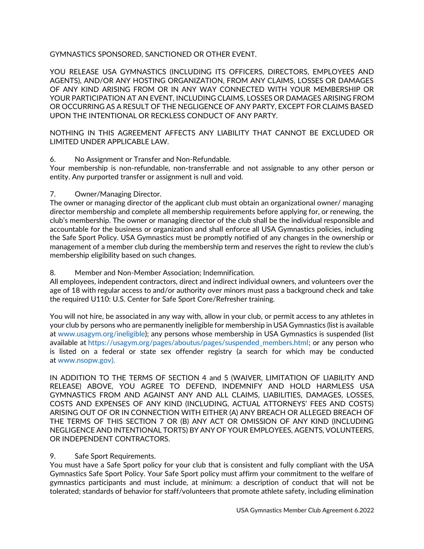# GYMNASTICS SPONSORED, SANCTIONED OR OTHER EVENT.

YOU RELEASE USA GYMNASTICS (INCLUDING ITS OFFICERS, DIRECTORS, EMPLOYEES AND AGENTS), AND/OR ANY HOSTING ORGANIZATION, FROM ANY CLAIMS, LOSSES OR DAMAGES OF ANY KIND ARISING FROM OR IN ANY WAY CONNECTED WITH YOUR MEMBERSHIP OR YOUR PARTICIPATION AT AN EVENT, INCLUDING CLAIMS, LOSSES OR DAMAGES ARISING FROM OR OCCURRING AS A RESULT OF THE NEGLIGENCE OF ANY PARTY, EXCEPT FOR CLAIMS BASED UPON THE INTENTIONAL OR RECKLESS CONDUCT OF ANY PARTY.

NOTHING IN THIS AGREEMENT AFFECTS ANY LIABILITY THAT CANNOT BE EXCLUDED OR LIMITED UNDER APPLICABLE LAW.

#### 6. No Assignment or Transfer and Non-Refundable.

Your membership is non-refundable, non-transferrable and not assignable to any other person or entity. Any purported transfer or assignment is null and void.

#### 7. Owner/Managing Director.

The owner or managing director of the applicant club must obtain an organizational owner/ managing director membership and complete all membership requirements before applying for, or renewing, the club's membership. The owner or managing director of the club shall be the individual responsible and accountable for the business or organization and shall enforce all USA Gymnastics policies, including the Safe Sport Policy. USA Gymnastics must be promptly notified of any changes in the ownership or management of a member club during the membership term and reserves the right to review the club's membership eligibility based on such changes.

#### 8. Member and Non-Member Association; Indemnification.

All employees, independent contractors, direct and indirect individual owners, and volunteers over the age of 18 with regular access to and/or authority over minors must pass a background check and take the required U110: U.S. Center for Safe Sport Core/Refresher training.

You will not hire, be associated in any way with, allow in your club, or permit access to any athletes in your club by persons who are permanently ineligible for membership in USA Gymnastics (list is available at [www.usagym.org/ineligible\)](https://usagym.org/pages/aboutus/pages/permanently_ineligible_members.html); any persons whose membership in USA Gymnastics is suspended (list available at [https://usagym.org/pages/aboutus/pages/suspended\\_members.html;](https://usagym.org/pages/aboutus/pages/suspended_members.html) or any person who is listed on a federal or state sex offender registry (a search for which may be conducted at [www.nsopw.gov\)](http://www.nsopw.gov/).

IN ADDITION TO THE TERMS OF SECTION 4 and 5 (WAIVER, LIMITATION OF LIABILITY AND RELEASE) ABOVE, YOU AGREE TO DEFEND, INDEMNIFY AND HOLD HARMLESS USA GYMNASTICS FROM AND AGAINST ANY AND ALL CLAIMS, LIABILITIES, DAMAGES, LOSSES, COSTS AND EXPENSES OF ANY KIND (INCLUDING, ACTUAL ATTORNEYS' FEES AND COSTS) ARISING OUT OF OR IN CONNECTION WITH EITHER (A) ANY BREACH OR ALLEGED BREACH OF THE TERMS OF THIS SECTION 7 OR (B) ANY ACT OR OMISSION OF ANY KIND (INCLUDING NEGLIGENCE AND INTENTIONAL TORTS) BY ANY OF YOUR EMPLOYEES, AGENTS, VOLUNTEERS, OR INDEPENDENT CONTRACTORS.

#### 9. Safe Sport Requirements.

You must have a Safe Sport policy for your club that is consistent and fully compliant with the USA Gymnastics Safe Sport Policy. Your Safe Sport policy must affirm your commitment to the welfare of gymnastics participants and must include, at minimum: a description of conduct that will not be tolerated; standards of behavior for staff/volunteers that promote athlete safety, including elimination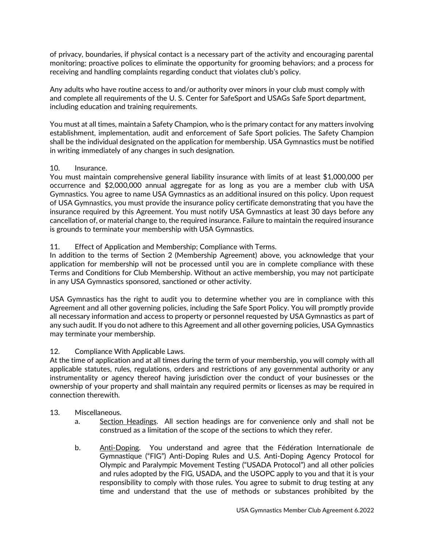of privacy, boundaries, if physical contact is a necessary part of the activity and encouraging parental monitoring; proactive polices to eliminate the opportunity for grooming behaviors; and a process for receiving and handling complaints regarding conduct that violates club's policy.

Any adults who have routine access to and/or authority over minors in your club must comply with and complete all requirements of the U. S. Center for SafeSport and USAGs Safe Sport department, including education and training requirements.

You must at all times, maintain a Safety Champion, who is the primary contact for any matters involving establishment, implementation, audit and enforcement of Safe Sport policies. The Safety Champion shall be the individual designated on the application for membership. USA Gymnastics must be notified in writing immediately of any changes in such designation.

## 10. Insurance.

You must maintain comprehensive general liability insurance with limits of at least \$1,000,000 per occurrence and \$2,000,000 annual aggregate for as long as you are a member club with USA Gymnastics. You agree to name USA Gymnastics as an additional insured on this policy. Upon request of USA Gymnastics, you must provide the insurance policy certificate demonstrating that you have the insurance required by this Agreement. You must notify USA Gymnastics at least 30 days before any cancellation of, or material change to, the required insurance. Failure to maintain the required insurance is grounds to terminate your membership with USA Gymnastics.

# 11. Effect of Application and Membership; Compliance with Terms.

In addition to the terms of Section 2 (Membership Agreement) above, you acknowledge that your application for membership will not be processed until you are in complete compliance with these Terms and Conditions for Club Membership. Without an active membership, you may not participate in any USA Gymnastics sponsored, sanctioned or other activity.

USA Gymnastics has the right to audit you to determine whether you are in compliance with this Agreement and all other governing policies, including the Safe Sport Policy. You will promptly provide all necessary information and access to property or personnel requested by USA Gymnastics as part of any such audit. If you do not adhere to this Agreement and all other governing policies, USA Gymnastics may terminate your membership.

# 12. Compliance With Applicable Laws.

At the time of application and at all times during the term of your membership, you will comply with all applicable statutes, rules, regulations, orders and restrictions of any governmental authority or any instrumentality or agency thereof having jurisdiction over the conduct of your businesses or the ownership of your property and shall maintain any required permits or licenses as may be required in connection therewith.

#### 13. Miscellaneous.

- a. Section Headings. All section headings are for convenience only and shall not be construed as a limitation of the scope of the sections to which they refer.
- b. Anti-Doping. You understand and agree that the Fédération Internationale de Gymnastique ("FIG") Anti-Doping Rules and U.S. Anti-Doping Agency Protocol for Olympic and Paralympic Movement Testing ("USADA Protocol") and all other policies and rules adopted by the FIG, USADA, and the USOPC apply to you and that it is your responsibility to comply with those rules. You agree to submit to drug testing at any time and understand that the use of methods or substances prohibited by the